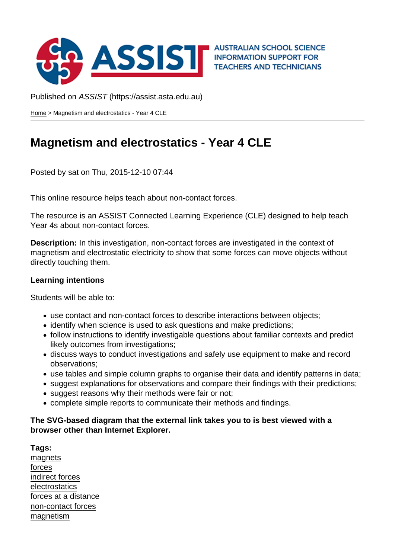## Published on ASSIST (https://assist.asta.edu.au)

Home > Magnetism and electrostatics - Year 4 CLE

## [Ma](https://assist.asta.edu.au/)gnetism and electrostatics - Year 4 CLE

[Posted by sat on Thu, 2015-12-10 07:44](https://assist.asta.edu.au/resource/3436/magnetism-and-electrostatics-year-4-cle)

This onlin[e res](https://assist.asta.edu.au/users/18959/science-assist-team)ource helps teach about non-contact forces.

The resource is an ASSIST Connected Learning Experience (CLE) designed to help teach Year 4s about non-contact forces.

Description: In this investigation, non-contact forces are investigated in the context of magnetism and electrostatic electricity to show that some forces can move objects without directly touching them.

Learning intentions

Students will be able to:

- use contact and non-contact forces to describe interactions between objects;
- identify when science is used to ask questions and make predictions;
- follow instructions to identify investigable questions about familiar contexts and predict likely outcomes from investigations;
- discuss ways to conduct investigations and safely use equipment to make and record observations;
- use tables and simple column graphs to organise their data and identify patterns in data;
- suggest explanations for observations and compare their findings with their predictions;
- suggest reasons why their methods were fair or not;
- complete simple reports to communicate their methods and findings.

The SVG-based diagram that the external link takes you to is best viewed with a browser other than Internet Explorer.

Tags: magnets forces indirect forces [electrosta](https://assist.asta.edu.au/tags/magnets?tag[0]=11285)tics [forces](https://assist.asta.edu.au/tags/forces?tag[0]=11433) at a distance [non-contact fo](https://assist.asta.edu.au/tags/indirect-forces?tag[0]=13147)rces [magnetism](https://assist.asta.edu.au/tags/electrostatics?tag[0]=13148)